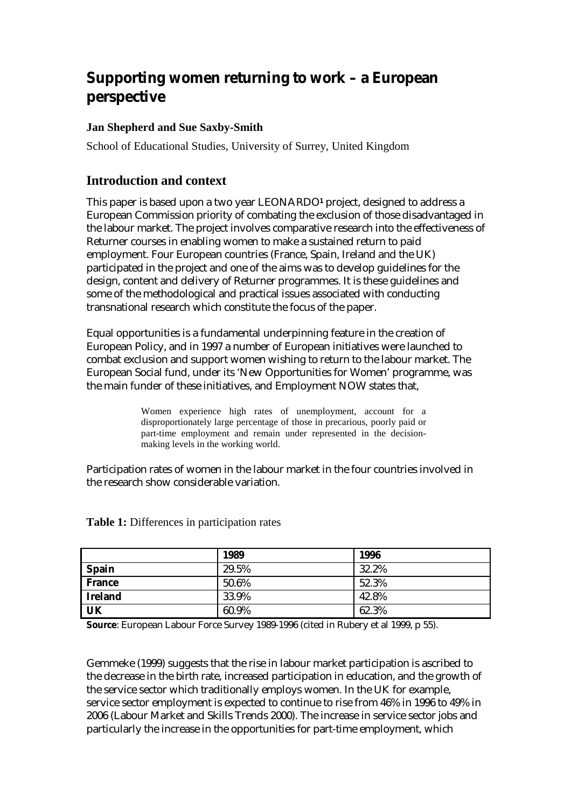# **Supporting women returning to work – a European perspective**

### **Jan Shepherd and Sue Saxby-Smith**

School of Educational Studies, University of Surrey, United Kingdom

# **Introduction and context**

This paper is based upon a two year LEONARDO**1** project, designed to address a European Commission priority of combating the exclusion of those disadvantaged in the labour market. The project involves comparative research into the effectiveness of Returner courses in enabling women to make a sustained return to paid employment. Four European countries (France, Spain, Ireland and the UK) participated in the project and one of the aims was to develop guidelines for the design, content and delivery of Returner programmes. It is these guidelines and some of the methodological and practical issues associated with conducting transnational research which constitute the focus of the paper.

Equal opportunities is a fundamental underpinning feature in the creation of European Policy, and in 1997 a number of European initiatives were launched to combat exclusion and support women wishing to return to the labour market. The European Social fund, under its 'New Opportunities for Women' programme, was the main funder of these initiatives, and Employment NOW states that,

> Women experience high rates of unemployment, account for a disproportionately large percentage of those in precarious, poorly paid or part-time employment and remain under represented in the decisionmaking levels in the working world.

Participation rates of women in the labour market in the four countries involved in the research show considerable variation.

|                           | 1989  | 1996  |
|---------------------------|-------|-------|
| <b>Spain</b>              | 29.5% | 32.2% |
| <b>France</b>             | 50.6% | 52.3% |
| <b>Ireland</b>            | 33.9% | 42.8% |
| $\overline{\mathbf{U}}$ K | 60.9% | 62.3% |

**Table 1:** Differences in participation rates

**Source**: European Labour Force Survey 1989-1996 (cited in Rubery et al 1999, p 55).

Gemmeke (1999) suggests that the rise in labour market participation is ascribed to the decrease in the birth rate, increased participation in education, and the growth of the service sector which traditionally employs women. In the UK for example, service sector employment is expected to continue to rise from 46% in 1996 to 49% in 2006 (Labour Market and Skills Trends 2000). The increase in service sector jobs and particularly the increase in the opportunities for part-time employment, which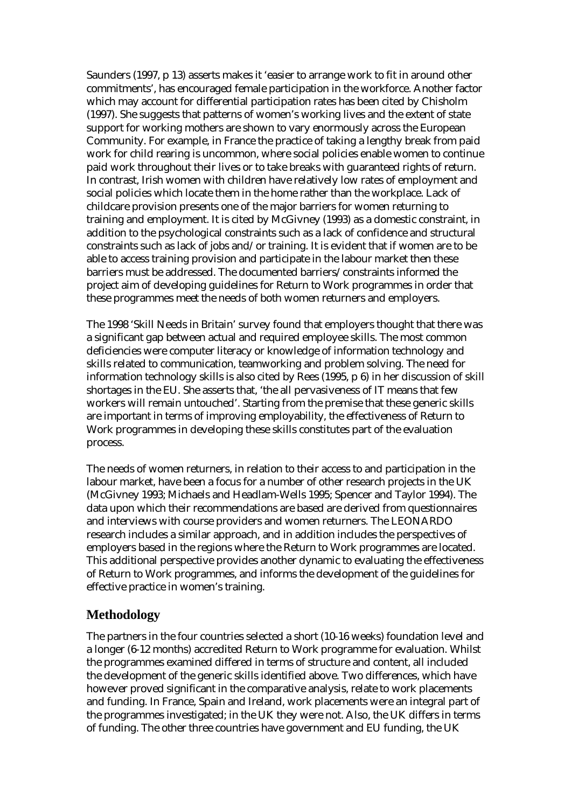Saunders (1997, p 13) asserts makes it 'easier to arrange work to fit in around other commitments', has encouraged female participation in the workforce. Another factor which may account for differential participation rates has been cited by Chisholm (1997). She suggests that patterns of women's working lives and the extent of state support for working mothers are shown to vary enormously across the European Community. For example, in France the practice of taking a lengthy break from paid work for child rearing is uncommon, where social policies enable women to continue paid work throughout their lives or to take breaks with guaranteed rights of return. In contrast, Irish women with children have relatively low rates of employment and social policies which locate them in the home rather than the workplace. Lack of childcare provision presents one of the major barriers for women returning to training and employment. It is cited by McGivney (1993) as a domestic constraint, in addition to the psychological constraints such as a lack of confidence and structural constraints such as lack of jobs and/or training. It is evident that if women are to be able to access training provision and participate in the labour market then these barriers must be addressed. The documented barriers/constraints informed the project aim of developing guidelines for Return to Work programmes in order that these programmes meet the needs of both women returners and employers.

The 1998 'Skill Needs in Britain' survey found that employers thought that there was a significant gap between actual and required employee skills. The most common deficiencies were computer literacy or knowledge of information technology and skills related to communication, teamworking and problem solving. The need for information technology skills is also cited by Rees (1995, p 6) in her discussion of skill shortages in the EU. She asserts that, 'the all pervasiveness of IT means that few workers will remain untouched'. Starting from the premise that these generic skills are important in terms of improving employability, the effectiveness of Return to Work programmes in developing these skills constitutes part of the evaluation process.

The needs of women returners, in relation to their access to and participation in the labour market, have been a focus for a number of other research projects in the UK (McGivney 1993; Michaels and Headlam-Wells 1995; Spencer and Taylor 1994). The data upon which their recommendations are based are derived from questionnaires and interviews with course providers and women returners. The LEONARDO research includes a similar approach, and in addition includes the perspectives of employers based in the regions where the Return to Work programmes are located. This additional perspective provides another dynamic to evaluating the effectiveness of Return to Work programmes, and informs the development of the guidelines for effective practice in women's training.

### **Methodology**

The partners in the four countries selected a short (10-16 weeks) foundation level and a longer (6-12 months) accredited Return to Work programme for evaluation. Whilst the programmes examined differed in terms of structure and content, all included the development of the generic skills identified above. Two differences, which have however proved significant in the comparative analysis, relate to work placements and funding. In France, Spain and Ireland, work placements were an integral part of the programmes investigated; in the UK they were not. Also, the UK differs in terms of funding. The other three countries have government and EU funding, the UK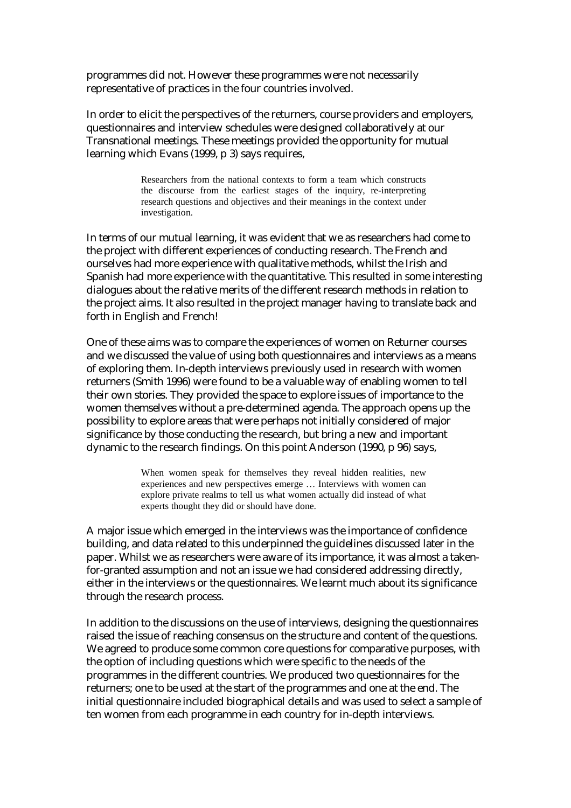programmes did not. However these programmes were not necessarily representative of practices in the four countries involved.

In order to elicit the perspectives of the returners, course providers and employers, questionnaires and interview schedules were designed collaboratively at our Transnational meetings. These meetings provided the opportunity for mutual learning which Evans (1999, p 3) says requires,

> Researchers from the national contexts to form a team which constructs the discourse from the earliest stages of the inquiry, re-interpreting research questions and objectives and their meanings in the context under investigation.

In terms of our mutual learning, it was evident that we as researchers had come to the project with different experiences of conducting research. The French and ourselves had more experience with qualitative methods, whilst the Irish and Spanish had more experience with the quantitative. This resulted in some interesting dialogues about the relative merits of the different research methods in relation to the project aims. It also resulted in the project manager having to translate back and forth in English and French!

One of these aims was to compare the experiences of women on Returner courses and we discussed the value of using both questionnaires and interviews as a means of exploring them. In-depth interviews previously used in research with women returners (Smith 1996) were found to be a valuable way of enabling women to tell their own stories. They provided the space to explore issues of importance to the women themselves without a pre-determined agenda. The approach opens up the possibility to explore areas that were perhaps not initially considered of major significance by those conducting the research, but bring a new and important dynamic to the research findings. On this point Anderson (1990, p 96) says,

> When women speak for themselves they reveal hidden realities, new experiences and new perspectives emerge … Interviews with women can explore private realms to tell us what women actually did instead of what experts thought they did or should have done.

A major issue which emerged in the interviews was the importance of confidence building, and data related to this underpinned the guidelines discussed later in the paper. Whilst we as researchers were aware of its importance, it was almost a takenfor-granted assumption and not an issue we had considered addressing directly, either in the interviews or the questionnaires. We learnt much about its significance through the research process.

In addition to the discussions on the use of interviews, designing the questionnaires raised the issue of reaching consensus on the structure and content of the questions. We agreed to produce some common core questions for comparative purposes, with the option of including questions which were specific to the needs of the programmes in the different countries. We produced two questionnaires for the returners; one to be used at the start of the programmes and one at the end. The initial questionnaire included biographical details and was used to select a sample of ten women from each programme in each country for in-depth interviews.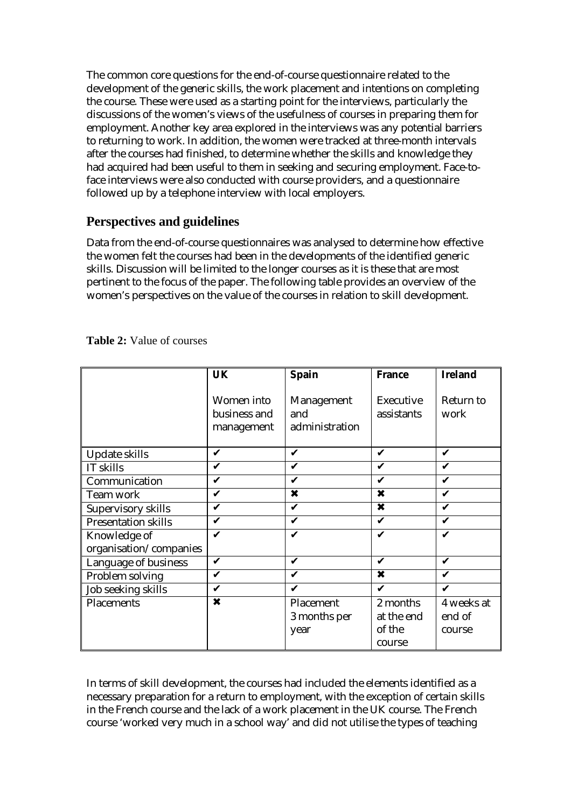The common core questions for the end-of-course questionnaire related to the development of the generic skills, the work placement and intentions on completing the course. These were used as a starting point for the interviews, particularly the discussions of the women's views of the usefulness of courses in preparing them for employment. Another key area explored in the interviews was any potential barriers to returning to work. In addition, the women were tracked at three-month intervals after the courses had finished, to determine whether the skills and knowledge they had acquired had been useful to them in seeking and securing employment. Face-toface interviews were also conducted with course providers, and a questionnaire followed up by a telephone interview with local employers.

# **Perspectives and guidelines**

Data from the end-of-course questionnaires was analysed to determine how effective the women felt the courses had been in the developments of the identified generic skills. Discussion will be limited to the longer courses as it is these that are most pertinent to the focus of the paper. The following table provides an overview of the women's perspectives on the value of the courses in relation to skill development.

|                                        | <b>UK</b>                                | <b>Spain</b>                        | <b>France</b>             | <b>Ireland</b>    |
|----------------------------------------|------------------------------------------|-------------------------------------|---------------------------|-------------------|
|                                        | Women into<br>business and<br>management | Management<br>and<br>administration | Executive<br>assistants   | Return to<br>work |
| Update skills                          | V                                        | V                                   | ✔                         | ✔                 |
| IT skills                              | V                                        | V                                   | V                         | ✔                 |
| Communication                          | V                                        | V                                   | ✔                         | ✔                 |
| Team work                              | V                                        | $\overline{\mathbf{x}}$             | X                         |                   |
| Supervisory skills                     | V                                        | V                                   | $\boldsymbol{\mathsf{x}}$ | ✔                 |
| <b>Presentation skills</b>             | V                                        | ✔                                   | V                         | V                 |
| Knowledge of<br>organisation/companies | ✔                                        | $\mathbf{v}$                        | V                         | ✔                 |
| Language of business                   | V                                        | ✔                                   | V                         | V                 |
| Problem solving                        | V                                        | ✔                                   | X                         | ✔                 |
| Job seeking skills                     | $\checkmark$                             | V                                   | V                         | ✔                 |
| Placements                             | X                                        | Placement                           | 2 months                  | 4 weeks at        |
|                                        |                                          | 3 months per                        | at the end                | end of            |
|                                        |                                          | year                                | of the                    | course            |
|                                        |                                          |                                     | course                    |                   |

#### **Table 2:** Value of courses

In terms of skill development, the courses had included the elements identified as a necessary preparation for a return to employment, with the exception of certain skills in the French course and the lack of a work placement in the UK course. The French course 'worked very much in a school way' and did not utilise the types of teaching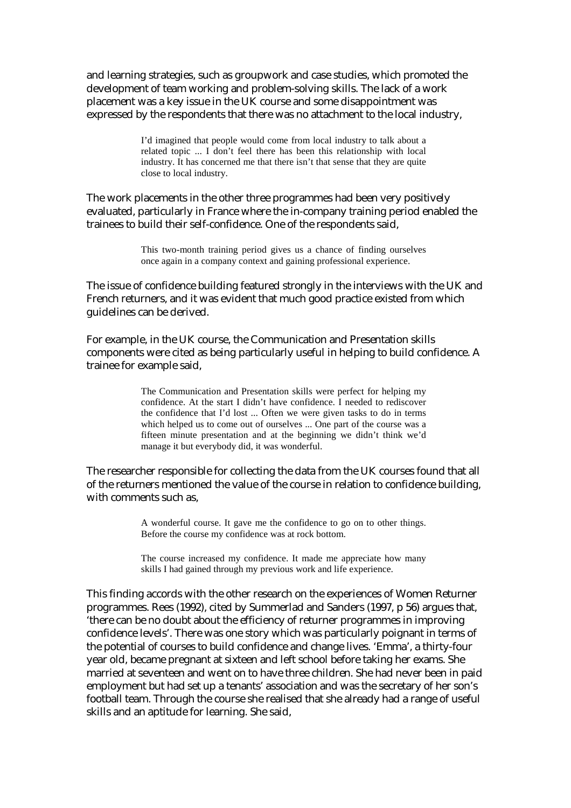and learning strategies, such as groupwork and case studies, which promoted the development of team working and problem-solving skills. The lack of a work placement was a key issue in the UK course and some disappointment was expressed by the respondents that there was no attachment to the local industry,

> I'd imagined that people would come from local industry to talk about a related topic ... I don't feel there has been this relationship with local industry. It has concerned me that there isn't that sense that they are quite close to local industry.

The work placements in the other three programmes had been very positively evaluated, particularly in France where the in-company training period enabled the trainees to build their self-confidence. One of the respondents said,

> This two-month training period gives us a chance of finding ourselves once again in a company context and gaining professional experience.

The issue of confidence building featured strongly in the interviews with the UK and French returners, and it was evident that much good practice existed from which guidelines can be derived.

For example, in the UK course, the Communication and Presentation skills components were cited as being particularly useful in helping to build confidence. A trainee for example said,

> The Communication and Presentation skills were perfect for helping my confidence. At the start I didn't have confidence. I needed to rediscover the confidence that I'd lost ... Often we were given tasks to do in terms which helped us to come out of ourselves ... One part of the course was a fifteen minute presentation and at the beginning we didn't think we'd manage it but everybody did, it was wonderful.

The researcher responsible for collecting the data from the UK courses found that all of the returners mentioned the value of the course in relation to confidence building, with comments such as,

> A wonderful course. It gave me the confidence to go on to other things. Before the course my confidence was at rock bottom.

> The course increased my confidence. It made me appreciate how many skills I had gained through my previous work and life experience.

This finding accords with the other research on the experiences of Women Returner programmes. Rees (1992), cited by Summerlad and Sanders (1997, p 56) argues that, 'there can be no doubt about the efficiency of returner programmes in improving confidence levels'. There was one story which was particularly poignant in terms of the potential of courses to build confidence and change lives. 'Emma', a thirty-four year old, became pregnant at sixteen and left school before taking her exams. She married at seventeen and went on to have three children. She had never been in paid employment but had set up a tenants' association and was the secretary of her son's football team. Through the course she realised that she already had a range of useful skills and an aptitude for learning. She said,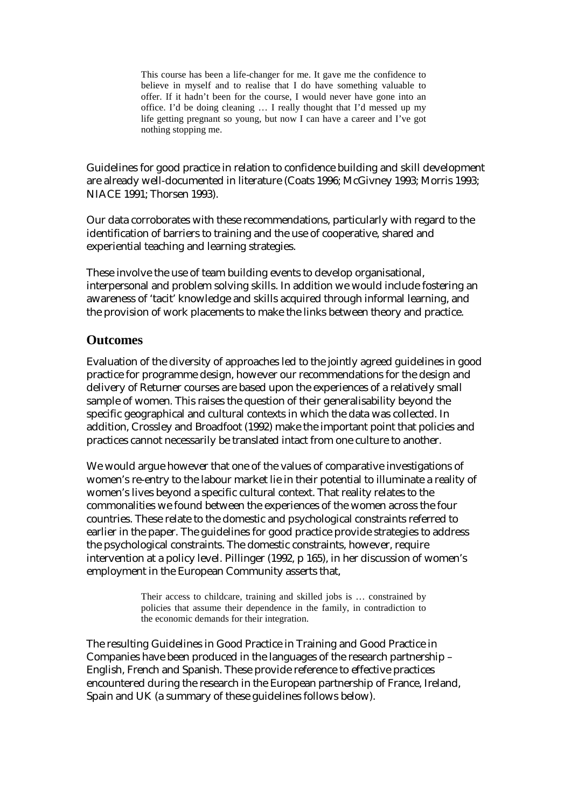This course has been a life-changer for me. It gave me the confidence to believe in myself and to realise that I do have something valuable to offer. If it hadn't been for the course, I would never have gone into an office. I'd be doing cleaning … I really thought that I'd messed up my life getting pregnant so young, but now I can have a career and I've got nothing stopping me.

Guidelines for good practice in relation to confidence building and skill development are already well-documented in literature (Coats 1996; McGivney 1993; Morris 1993; NIACE 1991; Thorsen 1993).

Our data corroborates with these recommendations, particularly with regard to the identification of barriers to training and the use of cooperative, shared and experiential teaching and learning strategies.

These involve the use of team building events to develop organisational, interpersonal and problem solving skills. In addition we would include fostering an awareness of 'tacit' knowledge and skills acquired through informal learning, and the provision of work placements to make the links between theory and practice.

### **Outcomes**

Evaluation of the diversity of approaches led to the jointly agreed guidelines in good practice for programme design, however our recommendations for the design and delivery of Returner courses are based upon the experiences of a relatively small sample of women. This raises the question of their generalisability beyond the specific geographical and cultural contexts in which the data was collected. In addition, Crossley and Broadfoot (1992) make the important point that policies and practices cannot necessarily be translated intact from one culture to another.

We would argue however that one of the values of comparative investigations of women's re-entry to the labour market lie in their potential to illuminate a reality of women's lives beyond a specific cultural context. That reality relates to the commonalities we found between the experiences of the women across the four countries. These relate to the domestic and psychological constraints referred to earlier in the paper. The guidelines for good practice provide strategies to address the psychological constraints. The domestic constraints, however, require intervention at a policy level. Pillinger (1992, p 165), in her discussion of women's employment in the European Community asserts that,

> Their access to childcare, training and skilled jobs is … constrained by policies that assume their dependence in the family, in contradiction to the economic demands for their integration.

The resulting Guidelines in Good Practice in Training and Good Practice in Companies have been produced in the languages of the research partnership – English, French and Spanish. These provide reference to effective practices encountered during the research in the European partnership of France, Ireland, Spain and UK (a summary of these guidelines follows below).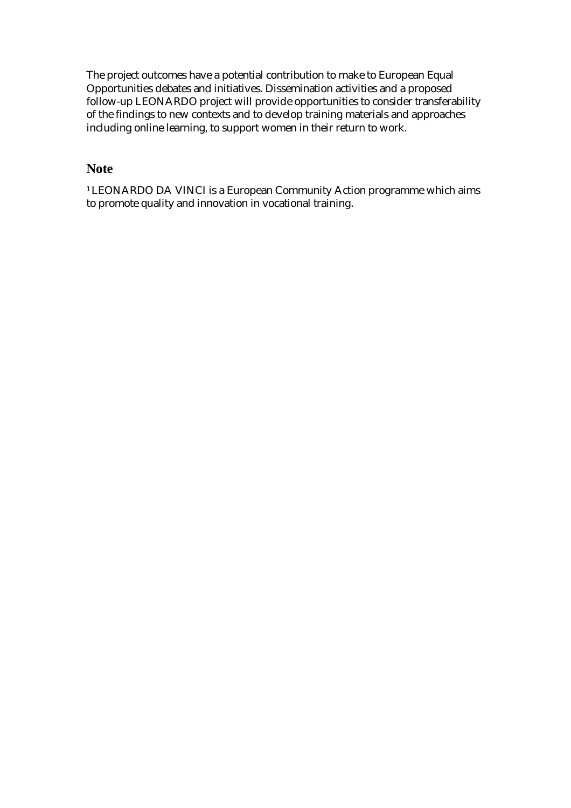The project outcomes have a potential contribution to make to European Equal Opportunities debates and initiatives. Dissemination activities and a proposed follow-up LEONARDO project will provide opportunities to consider transferability of the findings to new contexts and to develop training materials and approaches including online learning, to support women in their return to work.

# **Note**

<sup>1</sup> LEONARDO DA VINCI is a European Community Action programme which aims to promote quality and innovation in vocational training.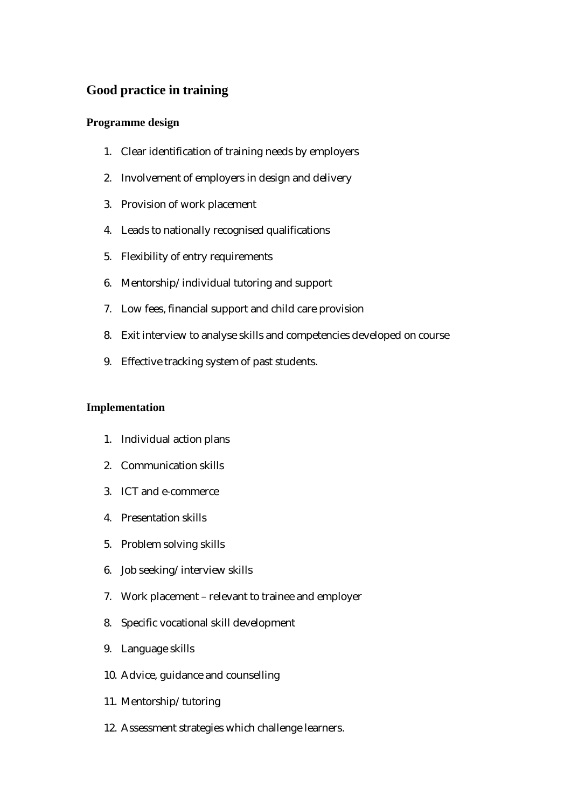# **Good practice in training**

#### **Programme design**

- 1. Clear identification of training needs by employers
- 2. Involvement of employers in design and delivery
- 3. Provision of work placement
- 4. Leads to nationally recognised qualifications
- 5. Flexibility of entry requirements
- 6. Mentorship/individual tutoring and support
- 7. Low fees, financial support and child care provision
- 8. Exit interview to analyse skills and competencies developed on course
- 9. Effective tracking system of past students.

#### **Implementation**

- 1. Individual action plans
- 2. Communication skills
- 3. ICT and e-commerce
- 4. Presentation skills
- 5. Problem solving skills
- 6. Job seeking/interview skills
- 7. Work placement relevant to trainee and employer
- 8. Specific vocational skill development
- 9. Language skills
- 10. Advice, guidance and counselling
- 11. Mentorship/tutoring
- 12. Assessment strategies which challenge learners.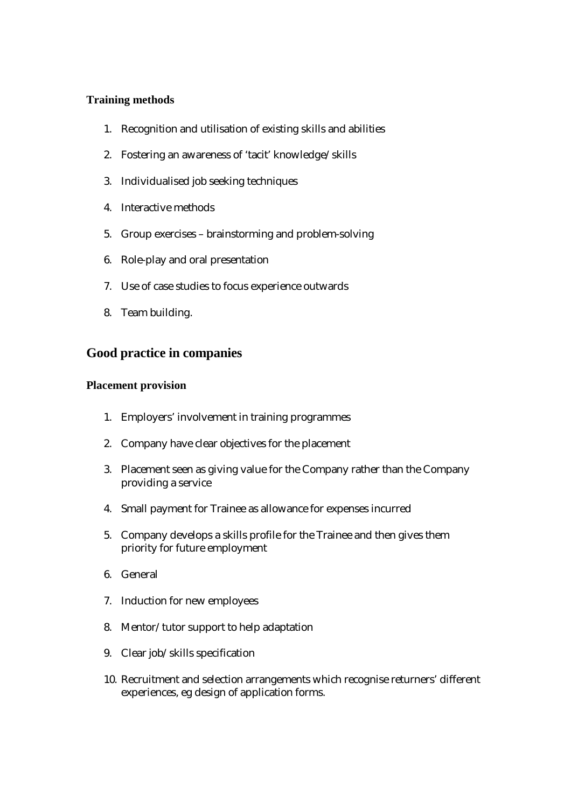#### **Training methods**

- 1. Recognition and utilisation of existing skills and abilities
- 2. Fostering an awareness of 'tacit' knowledge/skills
- 3. Individualised job seeking techniques
- 4. Interactive methods
- 5. Group exercises brainstorming and problem-solving
- 6. Role-play and oral presentation
- 7. Use of case studies to focus experience outwards
- 8. Team building.

### **Good practice in companies**

#### **Placement provision**

- 1. Employers' involvement in training programmes
- 2. Company have clear objectives for the placement
- 3. Placement seen as giving value for the Company rather than the Company providing a service
- 4. Small payment for Trainee as allowance for expenses incurred
- 5. Company develops a skills profile for the Trainee and then gives them priority for future employment
- 6. General
- 7. Induction for new employees
- 8. Mentor/tutor support to help adaptation
- 9. Clear job/skills specification
- 10. Recruitment and selection arrangements which recognise returners' different experiences, eg design of application forms.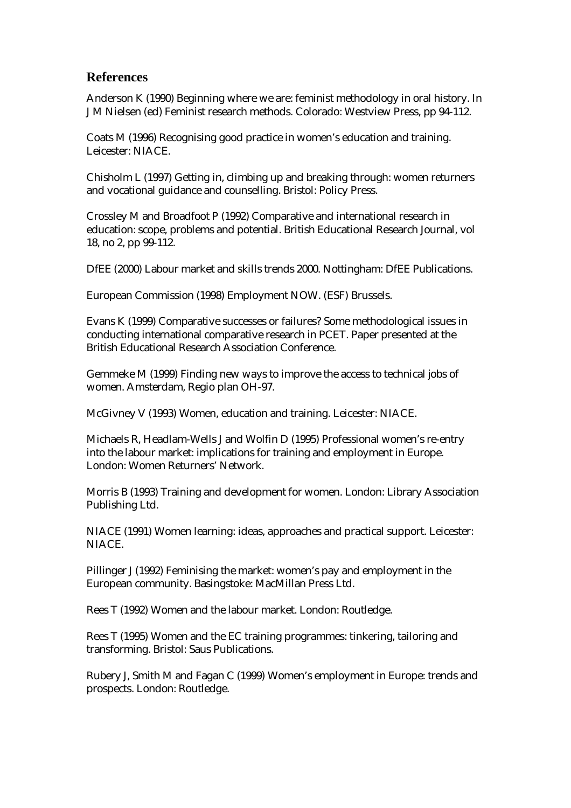### **References**

Anderson K (1990) Beginning where we are: feminist methodology in oral history. In J M Nielsen (ed) Feminist research methods. Colorado: Westview Press, pp 94-112.

Coats M (1996) Recognising good practice in women's education and training. Leicester: NIACE.

Chisholm L (1997) Getting in, climbing up and breaking through: women returners and vocational guidance and counselling. Bristol: Policy Press.

Crossley M and Broadfoot P (1992) Comparative and international research in education: scope, problems and potential. British Educational Research Journal, vol 18, no 2, pp 99-112.

DfEE (2000) Labour market and skills trends 2000. Nottingham: DfEE Publications.

European Commission (1998) Employment NOW. (ESF) Brussels.

Evans K (1999) Comparative successes or failures? Some methodological issues in conducting international comparative research in PCET. Paper presented at the British Educational Research Association Conference.

Gemmeke M (1999) Finding new ways to improve the access to technical jobs of women. Amsterdam, Regio plan OH-97.

McGivney V (1993) Women, education and training. Leicester: NIACE.

Michaels R, Headlam-Wells J and Wolfin D (1995) Professional women's re-entry into the labour market: implications for training and employment in Europe. London: Women Returners' Network.

Morris B (1993) Training and development for women. London: Library Association Publishing Ltd.

NIACE (1991) Women learning: ideas, approaches and practical support. Leicester: NIACE.

Pillinger J (1992) Feminising the market: women's pay and employment in the European community. Basingstoke: MacMillan Press Ltd.

Rees T (1992) Women and the labour market. London: Routledge.

Rees T (1995) Women and the EC training programmes: tinkering, tailoring and transforming. Bristol: Saus Publications.

Rubery J, Smith M and Fagan C (1999) Women's employment in Europe: trends and prospects. London: Routledge.